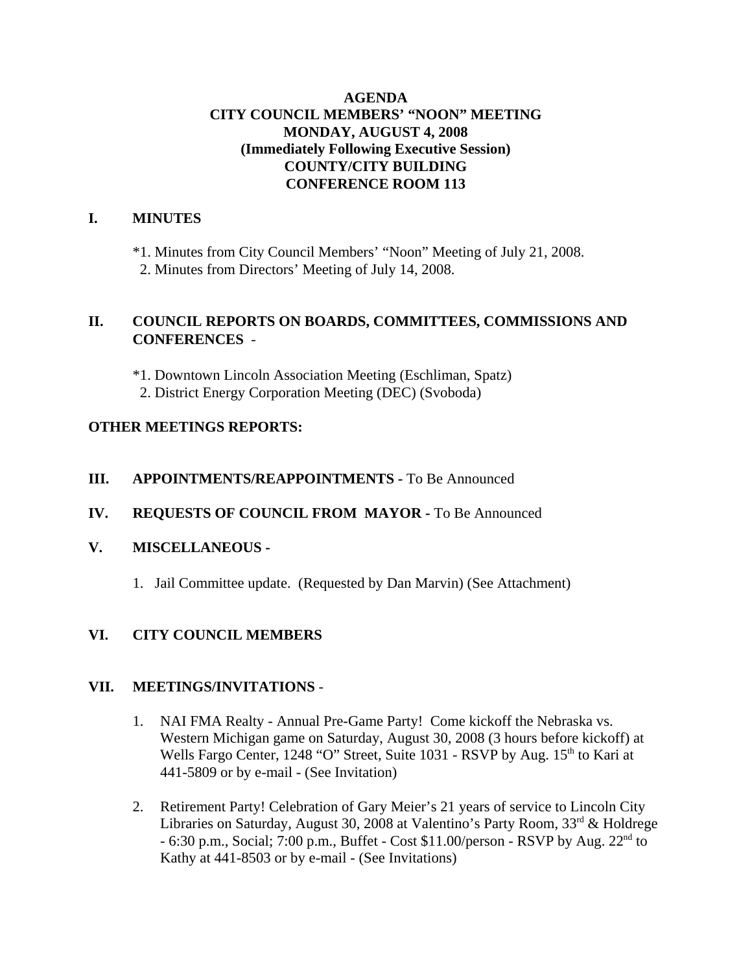### **AGENDA CITY COUNCIL MEMBERS' "NOON" MEETING MONDAY, AUGUST 4, 2008 (Immediately Following Executive Session) COUNTY/CITY BUILDING CONFERENCE ROOM 113**

## **I. MINUTES**

\*1. Minutes from City Council Members' "Noon" Meeting of July 21, 2008. 2. Minutes from Directors' Meeting of July 14, 2008.

## **II. COUNCIL REPORTS ON BOARDS, COMMITTEES, COMMISSIONS AND CONFERENCES** -

\*1. Downtown Lincoln Association Meeting (Eschliman, Spatz)

2. District Energy Corporation Meeting (DEC) (Svoboda)

## **OTHER MEETINGS REPORTS:**

## **III.** APPOINTMENTS/REAPPOINTMENTS - To Be Announced

**IV. REQUESTS OF COUNCIL FROM MAYOR -** To Be Announced

### **V. MISCELLANEOUS -**

1. Jail Committee update. (Requested by Dan Marvin) (See Attachment)

# **VI. CITY COUNCIL MEMBERS**

### **VII. MEETINGS/INVITATIONS** -

- 1. NAI FMA Realty Annual Pre-Game Party! Come kickoff the Nebraska vs. Western Michigan game on Saturday, August 30, 2008 (3 hours before kickoff) at Wells Fargo Center, 1248 "O" Street, Suite 1031 - RSVP by Aug. 15<sup>th</sup> to Kari at 441-5809 or by e-mail - (See Invitation)
- 2. Retirement Party! Celebration of Gary Meier's 21 years of service to Lincoln City Libraries on Saturday, August 30, 2008 at Valentino's Party Room,  $33<sup>rd</sup>$  & Holdrege  $-6:30$  p.m., Social; 7:00 p.m., Buffet  $-$  Cost \$11.00/person  $-$  RSVP by Aug.  $22<sup>nd</sup>$  to Kathy at 441-8503 or by e-mail - (See Invitations)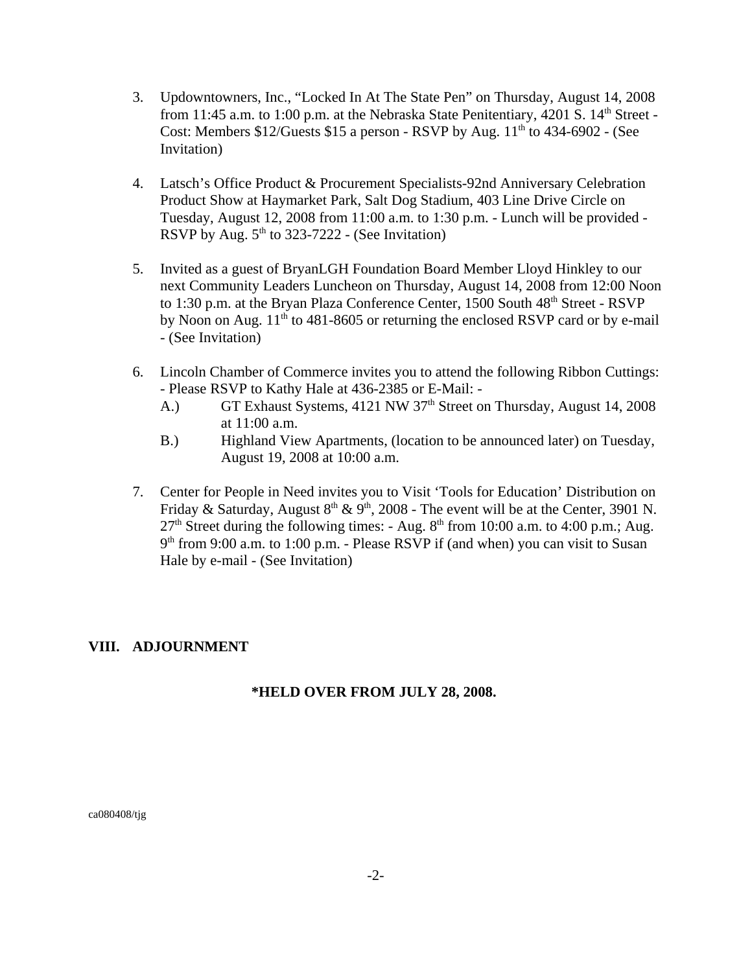- 3. Updowntowners, Inc., "Locked In At The State Pen" on Thursday, August 14, 2008 from 11:45 a.m. to 1:00 p.m. at the Nebraska State Penitentiary, 4201 S.  $14<sup>th</sup>$  Street -Cost: Members  $$12/G$ uests  $$15$  a person - RSVP by Aug.  $11<sup>th</sup>$  to 434-6902 - (See Invitation)
- 4. Latsch's Office Product & Procurement Specialists-92nd Anniversary Celebration Product Show at Haymarket Park, Salt Dog Stadium, 403 Line Drive Circle on Tuesday, August 12, 2008 from 11:00 a.m. to 1:30 p.m. - Lunch will be provided - RSVP by Aug.  $5<sup>th</sup>$  to 323-7222 - (See Invitation)
- 5. Invited as a guest of BryanLGH Foundation Board Member Lloyd Hinkley to our next Community Leaders Luncheon on Thursday, August 14, 2008 from 12:00 Noon to 1:30 p.m. at the Bryan Plaza Conference Center, 1500 South 48<sup>th</sup> Street - RSVP by Noon on Aug.  $11<sup>th</sup>$  to 481-8605 or returning the enclosed RSVP card or by e-mail - (See Invitation)
- 6. Lincoln Chamber of Commerce invites you to attend the following Ribbon Cuttings: - Please RSVP to Kathy Hale at 436-2385 or E-Mail: -
	- A.) GT Exhaust Systems, 4121 NW 37<sup>th</sup> Street on Thursday, August 14, 2008 at 11:00 a.m.
	- B.) Highland View Apartments, (location to be announced later) on Tuesday, August 19, 2008 at 10:00 a.m.
- 7. Center for People in Need invites you to Visit 'Tools for Education' Distribution on Friday & Saturday, August  $8<sup>th</sup>$  &  $9<sup>th</sup>$ , 2008 - The event will be at the Center, 3901 N.  $27<sup>th</sup>$  Street during the following times: - Aug.  $8<sup>th</sup>$  from 10:00 a.m. to 4:00 p.m.; Aug.  $9<sup>th</sup>$  from 9:00 a.m. to 1:00 p.m. - Please RSVP if (and when) you can visit to Susan Hale by e-mail - (See Invitation)

### **VIII. ADJOURNMENT**

#### **\*HELD OVER FROM JULY 28, 2008.**

ca080408/tjg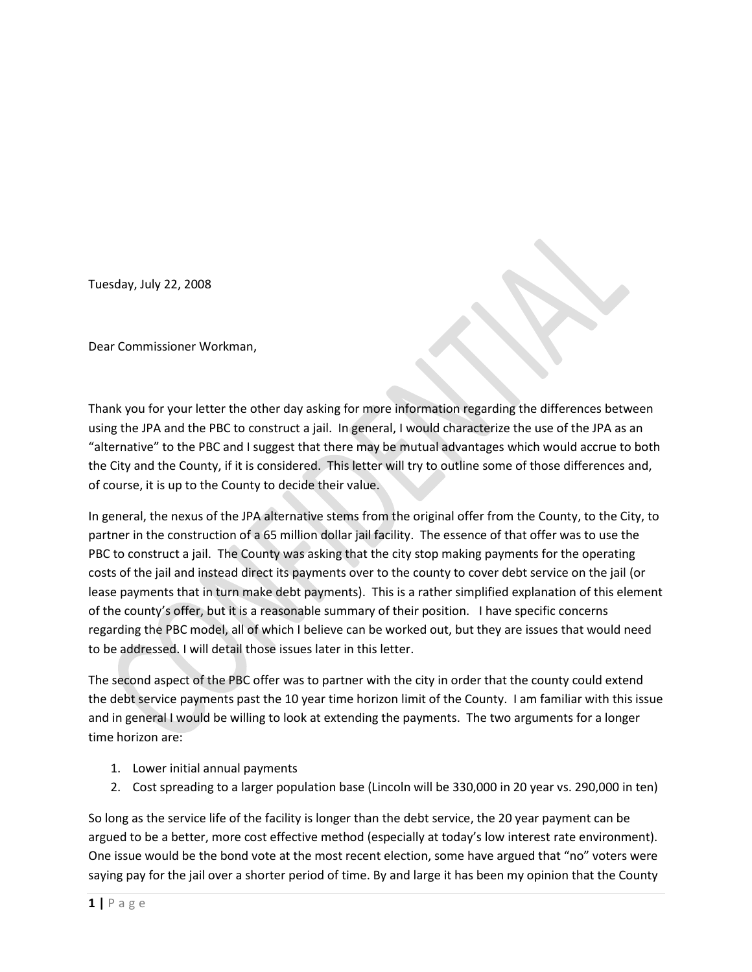Tuesday, July 22, 2008

Dear Commissioner Workman,

Thank you for your letter the other day asking for more information regarding the differences between using the JPA and the PBC to construct a jail. In general, I would characterize the use of the JPA as an "alternative" to the PBC and I suggest that there may be mutual advantages which would accrue to both the City and the County, if it is considered. This letter will try to outline some of those differences and, of course, it is up to the County to decide their value.

In general, the nexus of the JPA alternative stems from the original offer from the County, to the City, to partner in the construction of a 65 million dollar jail facility. The essence of that offer was to use the PBC to construct a jail. The County was asking that the city stop making payments for the operating costs of the jail and instead direct its payments over to the county to cover debt service on the jail (or lease payments that in turn make debt payments). This is a rather simplified explanation of this element of the county's offer, but it is a reasonable summary of their position. I have specific concerns regarding the PBC model, all of which I believe can be worked out, but they are issues that would need to be addressed. I will detail those issues later in this letter.

The second aspect of the PBC offer was to partner with the city in order that the county could extend the debt service payments past the 10 year time horizon limit of the County. I am familiar with this issue and in general I would be willing to look at extending the payments. The two arguments for a longer time horizon are:

- 1. Lower initial annual payments
- 2. Cost spreading to a larger population base (Lincoln will be 330,000 in 20 year vs. 290,000 in ten)

So long as the service life of the facility is longer than the debt service, the 20 year payment can be argued to be a better, more cost effective method (especially at today's low interest rate environment). One issue would be the bond vote at the most recent election, some have argued that "no" voters were saying pay for the jail over a shorter period of time. By and large it has been my opinion that the County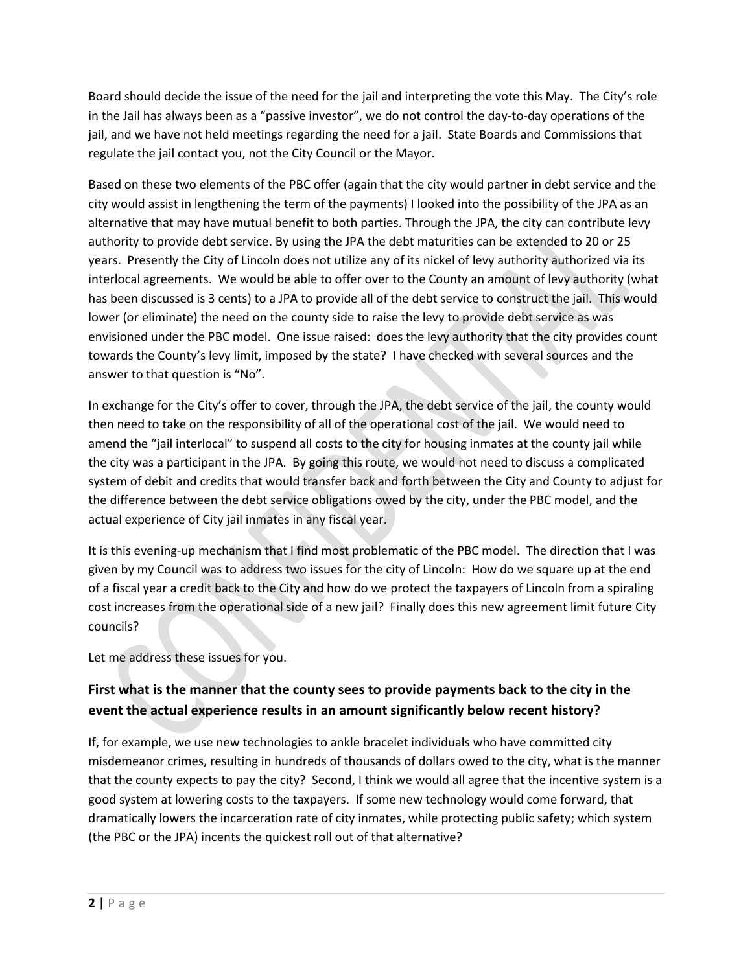Board should decide the issue of the need for the jail and interpreting the vote this May. The City's role in the Jail has always been as a "passive investor", we do not control the day-to-day operations of the jail, and we have not held meetings regarding the need for a jail. State Boards and Commissions that regulate the jail contact you, not the City Council or the Mayor.

Based on these two elements of the PBC offer (again that the city would partner in debt service and the city would assist in lengthening the term of the payments) I looked into the possibility of the JPA as an alternative that may have mutual benefit to both parties. Through the JPA, the city can contribute levy authority to provide debt service. By using the JPA the debt maturities can be extended to 20 or 25 years. Presently the City of Lincoln does not utilize any of its nickel of levy authority authorized via its interlocal agreements. We would be able to offer over to the County an amount of levy authority (what has been discussed is 3 cents) to a JPA to provide all of the debt service to construct the jail. This would lower (or eliminate) the need on the county side to raise the levy to provide debt service as was envisioned under the PBC model. One issue raised: does the levy authority that the city provides count towards the County's levy limit, imposed by the state? I have checked with several sources and the answer to that question is "No".

In exchange for the City's offer to cover, through the JPA, the debt service of the jail, the county would then need to take on the responsibility of all of the operational cost of the jail. We would need to amend the "jail interlocal" to suspend all costs to the city for housing inmates at the county jail while the city was a participant in the JPA. By going this route, we would not need to discuss a complicated system of debit and credits that would transfer back and forth between the City and County to adjust for the difference between the debt service obligations owed by the city, under the PBC model, and the actual experience of City jail inmates in any fiscal year.

It is this evening-up mechanism that I find most problematic of the PBC model. The direction that I was given by my Council was to address two issues for the city of Lincoln: How do we square up at the end of a fiscal year a credit back to the City and how do we protect the taxpayers of Lincoln from a spiraling cost increases from the operational side of a new jail? Finally does this new agreement limit future City councils?

Let me address these issues for you.

# **First what is the manner that the county sees to provide payments back to the city in the event the actual experience results in an amount significantly below recent history?**

If, for example, we use new technologies to ankle bracelet individuals who have committed city misdemeanor crimes, resulting in hundreds of thousands of dollars owed to the city, what is the manner that the county expects to pay the city? Second, I think we would all agree that the incentive system is a good system at lowering costs to the taxpayers. If some new technology would come forward, that dramatically lowers the incarceration rate of city inmates, while protecting public safety; which system (the PBC or the JPA) incents the quickest roll out of that alternative?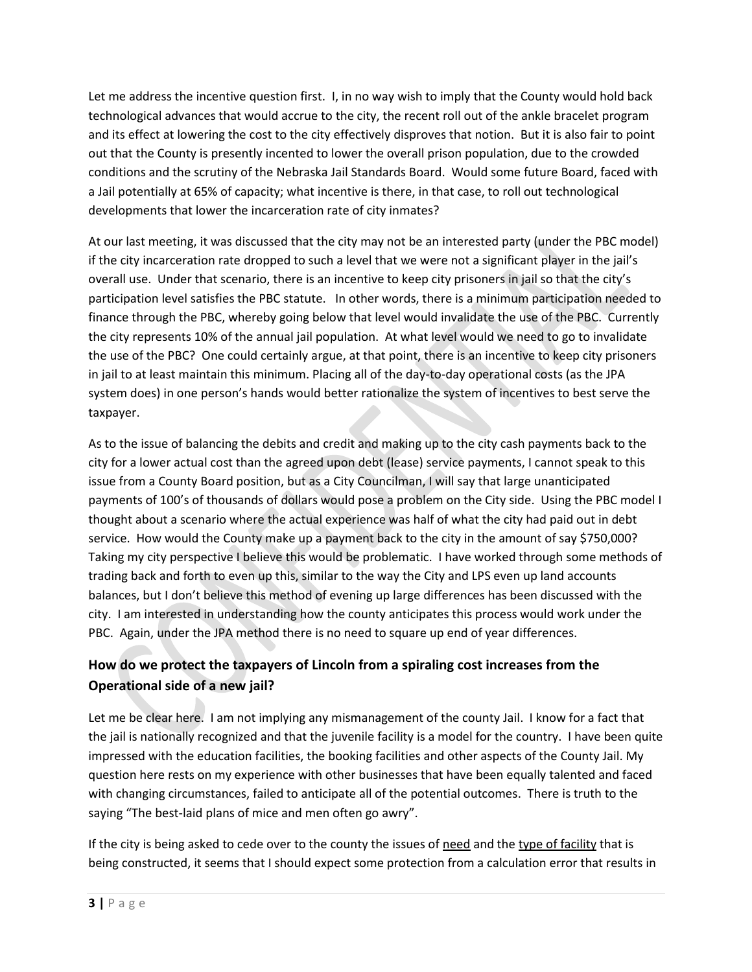Let me address the incentive question first. I, in no way wish to imply that the County would hold back technological advances that would accrue to the city, the recent roll out of the ankle bracelet program and its effect at lowering the cost to the city effectively disproves that notion. But it is also fair to point out that the County is presently incented to lower the overall prison population, due to the crowded conditions and the scrutiny of the Nebraska Jail Standards Board. Would some future Board, faced with a Jail potentially at 65% of capacity; what incentive is there, in that case, to roll out technological developments that lower the incarceration rate of city inmates?

At our last meeting, it was discussed that the city may not be an interested party (under the PBC model) if the city incarceration rate dropped to such a level that we were not a significant player in the jail's overall use. Under that scenario, there is an incentive to keep city prisoners in jail so that the city's participation level satisfies the PBC statute. In other words, there is a minimum participation needed to finance through the PBC, whereby going below that level would invalidate the use of the PBC. Currently the city represents 10% of the annual jail population. At what level would we need to go to invalidate the use of the PBC? One could certainly argue, at that point, there is an incentive to keep city prisoners in jail to at least maintain this minimum. Placing all of the day-to-day operational costs (as the JPA system does) in one person's hands would better rationalize the system of incentives to best serve the taxpayer.

As to the issue of balancing the debits and credit and making up to the city cash payments back to the city for a lower actual cost than the agreed upon debt (lease) service payments, I cannot speak to this issue from a County Board position, but as a City Councilman, I will say that large unanticipated payments of 100's of thousands of dollars would pose a problem on the City side. Using the PBC model I thought about a scenario where the actual experience was half of what the city had paid out in debt service. How would the County make up a payment back to the city in the amount of say \$750,000? Taking my city perspective I believe this would be problematic. I have worked through some methods of trading back and forth to even up this, similar to the way the City and LPS even up land accounts balances, but I don't believe this method of evening up large differences has been discussed with the city. I am interested in understanding how the county anticipates this process would work under the PBC. Again, under the JPA method there is no need to square up end of year differences.

# **How do we protect the taxpayers of Lincoln from a spiraling cost increases from the Operational side of a new jail?**

Let me be clear here. I am not implying any mismanagement of the county Jail. I know for a fact that the jail is nationally recognized and that the juvenile facility is a model for the country. I have been quite impressed with the education facilities, the booking facilities and other aspects of the County Jail. My question here rests on my experience with other businesses that have been equally talented and faced with changing circumstances, failed to anticipate all of the potential outcomes. There is truth to the saying "The best-laid plans of mice and men often go awry".

If the city is being asked to cede over to the county the issues of need and the type of facility that is being constructed, it seems that I should expect some protection from a calculation error that results in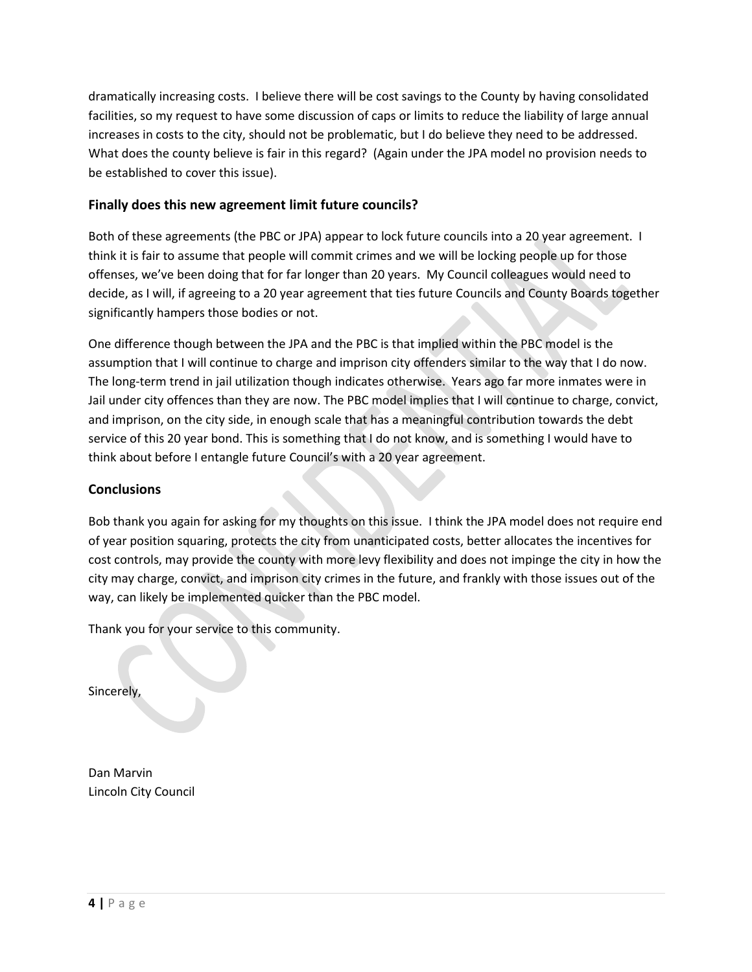dramatically increasing costs. I believe there will be cost savings to the County by having consolidated facilities, so my request to have some discussion of caps or limits to reduce the liability of large annual increases in costs to the city, should not be problematic, but I do believe they need to be addressed. What does the county believe is fair in this regard? (Again under the JPA model no provision needs to be established to cover this issue).

#### **Finally does this new agreement limit future councils?**

Both of these agreements (the PBC or JPA) appear to lock future councils into a 20 year agreement. I think it is fair to assume that people will commit crimes and we will be locking people up for those offenses, we've been doing that for far longer than 20 years. My Council colleagues would need to decide, as I will, if agreeing to a 20 year agreement that ties future Councils and County Boards together significantly hampers those bodies or not.

One difference though between the JPA and the PBC is that implied within the PBC model is the assumption that I will continue to charge and imprison city offenders similar to the way that I do now. The long-term trend in jail utilization though indicates otherwise. Years ago far more inmates were in Jail under city offences than they are now. The PBC model implies that I will continue to charge, convict, and imprison, on the city side, in enough scale that has a meaningful contribution towards the debt service of this 20 year bond. This is something that I do not know, and is something I would have to think about before I entangle future Council's with a 20 year agreement.

#### **Conclusions**

Bob thank you again for asking for my thoughts on this issue. I think the JPA model does not require end of year position squaring, protects the city from unanticipated costs, better allocates the incentives for cost controls, may provide the county with more levy flexibility and does not impinge the city in how the city may charge, convict, and imprison city crimes in the future, and frankly with those issues out of the way, can likely be implemented quicker than the PBC model.

Thank you for your service to this community.

Sincerely,

Dan Marvin Lincoln City Council